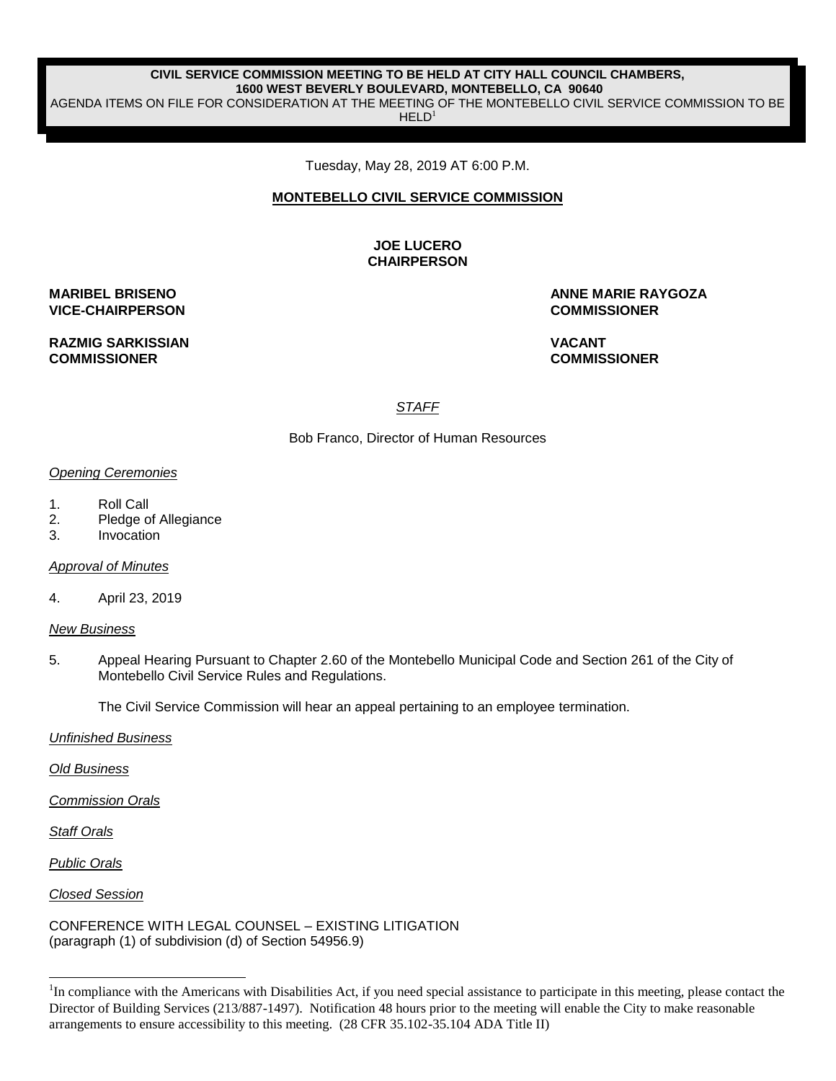# **CIVIL SERVICE COMMISSION MEETING TO BE HELD AT CITY HALL COUNCIL CHAMBERS,**

**1600 WEST BEVERLY BOULEVARD, MONTEBELLO, CA 90640** 

AGENDA ITEMS ON FILE FOR CONSIDERATION AT THE MEETING OF THE MONTEBELLO CIVIL SERVICE COMMISSION TO BE

 $HELD<sup>1</sup>$ 

Tuesday, May 28, 2019 AT 6:00 P.M.

### **MONTEBELLO CIVIL SERVICE COMMISSION**

**JOE LUCERO CHAIRPERSON**

#### **MARIBEL BRISENO VICE-CHAIRPERSON**

## **RAZMIG SARKISSIAN COMMISSIONER**

**ANNE MARIE RAYGOZA COMMISSIONER**

**VACANT COMMISSIONER**

## *STAFF*

Bob Franco, Director of Human Resources

#### *Opening Ceremonies*

- 1. Roll Call
- 2. Pledge of Allegiance
- 3. Invocation

*Approval of Minutes*

4. April 23, 2019

*New Business*

5. Appeal Hearing Pursuant to Chapter 2.60 of the Montebello Municipal Code and Section 261 of the City of Montebello Civil Service Rules and Regulations.

The Civil Service Commission will hear an appeal pertaining to an employee termination.

*Unfinished Business*

*Old Business*

*Commission Orals*

*Staff Orals*

*Public Orals*

l

*Closed Session*

CONFERENCE WITH LEGAL COUNSEL – EXISTING LITIGATION (paragraph (1) of subdivision (d) of Section 54956.9)

<sup>&</sup>lt;sup>1</sup>In compliance with the Americans with Disabilities Act, if you need special assistance to participate in this meeting, please contact the Director of Building Services (213/887-1497). Notification 48 hours prior to the meeting will enable the City to make reasonable arrangements to ensure accessibility to this meeting. (28 CFR 35.102-35.104 ADA Title II)